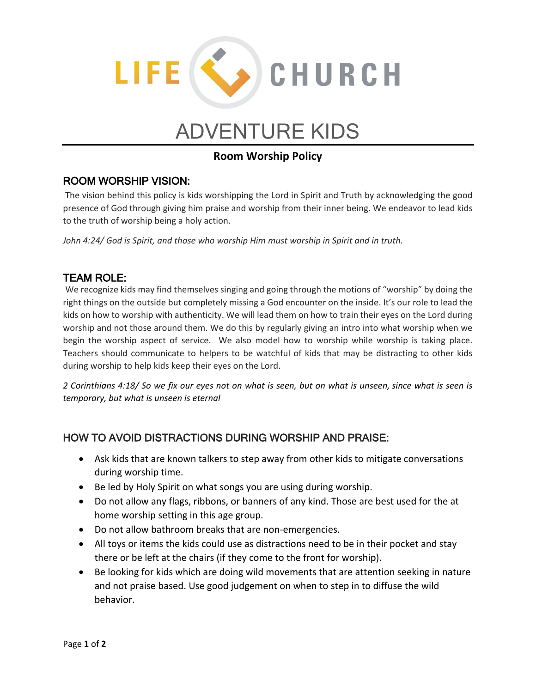

# ADVENTURE KIDS

### **Room Worship Policy**

#### ROOM WORSHIP VISION:

The vision behind this policy is kids worshipping the Lord in Spirit and Truth by acknowledging the good presence of God through giving him praise and worship from their inner being. We endeavor to lead kids to the truth of worship being a holy action.

*John 4:24/ God is Spirit, and those who worship Him must worship in Spirit and in truth.* 

#### TEAM ROLE:

We recognize kids may find themselves singing and going through the motions of "worship" by doing the right things on the outside but completely missing a God encounter on the inside. It's our role to lead the kids on how to worship with authenticity. We will lead them on how to train their eyes on the Lord during worship and not those around them. We do this by regularly giving an intro into what worship when we begin the worship aspect of service. We also model how to worship while worship is taking place. Teachers should communicate to helpers to be watchful of kids that may be distracting to other kids during worship to help kids keep their eyes on the Lord.

*2 Corinthians 4:18/ So we fix our eyes not on what is seen, but on what is unseen, since what is seen is temporary, but what is unseen is eternal*

#### HOW TO AVOID DISTRACTIONS DURING WORSHIP AND PRAISE:

- Ask kids that are known talkers to step away from other kids to mitigate conversations during worship time.
- Be led by Holy Spirit on what songs you are using during worship.
- Do not allow any flags, ribbons, or banners of any kind. Those are best used for the at home worship setting in this age group.
- Do not allow bathroom breaks that are non-emergencies.
- All toys or items the kids could use as distractions need to be in their pocket and stay there or be left at the chairs (if they come to the front for worship).
- Be looking for kids which are doing wild movements that are attention seeking in nature and not praise based. Use good judgement on when to step in to diffuse the wild behavior.